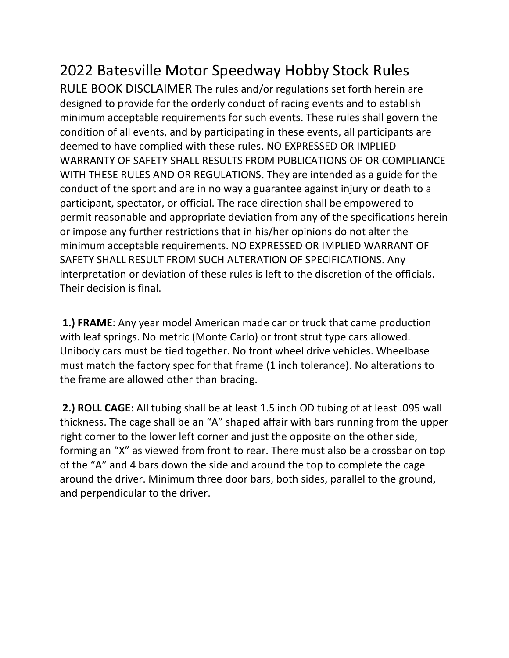## 2022 Batesville Motor Speedway Hobby Stock Rules

RULE BOOK DISCLAIMER The rules and/or regulations set forth herein are designed to provide for the orderly conduct of racing events and to establish minimum acceptable requirements for such events. These rules shall govern the condition of all events, and by participating in these events, all participants are deemed to have complied with these rules. NO EXPRESSED OR IMPLIED WARRANTY OF SAFETY SHALL RESULTS FROM PUBLICATIONS OF OR COMPLIANCE WITH THESE RULES AND OR REGULATIONS. They are intended as a guide for the conduct of the sport and are in no way a guarantee against injury or death to a participant, spectator, or official. The race direction shall be empowered to permit reasonable and appropriate deviation from any of the specifications herein or impose any further restrictions that in his/her opinions do not alter the minimum acceptable requirements. NO EXPRESSED OR IMPLIED WARRANT OF SAFETY SHALL RESULT FROM SUCH ALTERATION OF SPECIFICATIONS. Any interpretation or deviation of these rules is left to the discretion of the officials. Their decision is final.

**1.) FRAME**: Any year model American made car or truck that came production with leaf springs. No metric (Monte Carlo) or front strut type cars allowed. Unibody cars must be tied together. No front wheel drive vehicles. Wheelbase must match the factory spec for that frame (1 inch tolerance). No alterations to the frame are allowed other than bracing.

**2.) ROLL CAGE**: All tubing shall be at least 1.5 inch OD tubing of at least .095 wall thickness. The cage shall be an "A" shaped affair with bars running from the upper right corner to the lower left corner and just the opposite on the other side, forming an "X" as viewed from front to rear. There must also be a crossbar on top of the "A" and 4 bars down the side and around the top to complete the cage around the driver. Minimum three door bars, both sides, parallel to the ground, and perpendicular to the driver.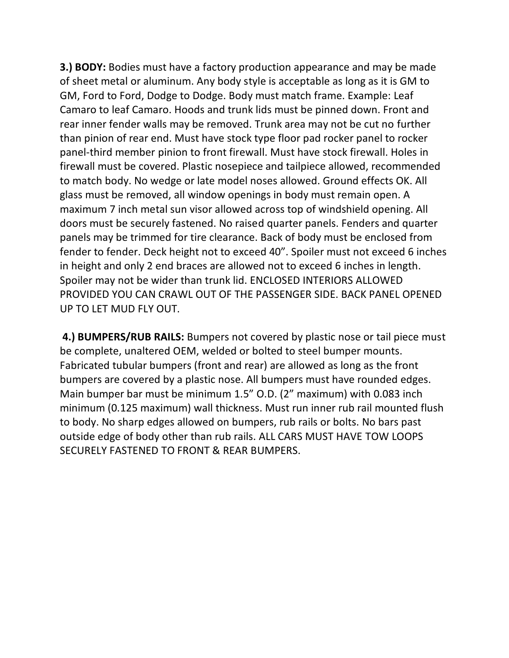**3.) BODY:** Bodies must have a factory production appearance and may be made of sheet metal or aluminum. Any body style is acceptable as long as it is GM to GM, Ford to Ford, Dodge to Dodge. Body must match frame. Example: Leaf Camaro to leaf Camaro. Hoods and trunk lids must be pinned down. Front and rear inner fender walls may be removed. Trunk area may not be cut no further than pinion of rear end. Must have stock type floor pad rocker panel to rocker panel-third member pinion to front firewall. Must have stock firewall. Holes in firewall must be covered. Plastic nosepiece and tailpiece allowed, recommended to match body. No wedge or late model noses allowed. Ground effects OK. All glass must be removed, all window openings in body must remain open. A maximum 7 inch metal sun visor allowed across top of windshield opening. All doors must be securely fastened. No raised quarter panels. Fenders and quarter panels may be trimmed for tire clearance. Back of body must be enclosed from fender to fender. Deck height not to exceed 40". Spoiler must not exceed 6 inches in height and only 2 end braces are allowed not to exceed 6 inches in length. Spoiler may not be wider than trunk lid. ENCLOSED INTERIORS ALLOWED PROVIDED YOU CAN CRAWL OUT OF THE PASSENGER SIDE. BACK PANEL OPENED UP TO LET MUD FLY OUT.

**4.) BUMPERS/RUB RAILS:** Bumpers not covered by plastic nose or tail piece must be complete, unaltered OEM, welded or bolted to steel bumper mounts. Fabricated tubular bumpers (front and rear) are allowed as long as the front bumpers are covered by a plastic nose. All bumpers must have rounded edges. Main bumper bar must be minimum 1.5" O.D. (2" maximum) with 0.083 inch minimum (0.125 maximum) wall thickness. Must run inner rub rail mounted flush to body. No sharp edges allowed on bumpers, rub rails or bolts. No bars past outside edge of body other than rub rails. ALL CARS MUST HAVE TOW LOOPS SECURELY FASTENED TO FRONT & REAR BUMPERS.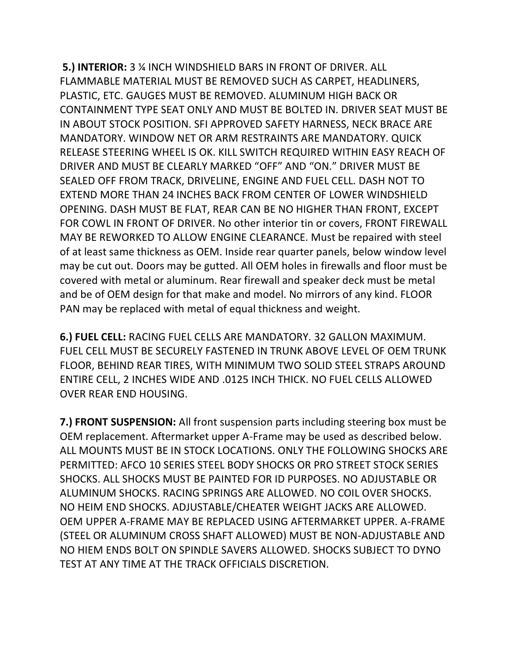**5.) INTERIOR:** 3 ¼ INCH WINDSHIELD BARS IN FRONT OF DRIVER. ALL FLAMMABLE MATERIAL MUST BE REMOVED SUCH AS CARPET, HEADLINERS, PLASTIC, ETC. GAUGES MUST BE REMOVED. ALUMINUM HIGH BACK OR CONTAINMENT TYPE SEAT ONLY AND MUST BE BOLTED IN. DRIVER SEAT MUST BE IN ABOUT STOCK POSITION. SFI APPROVED SAFETY HARNESS, NECK BRACE ARE MANDATORY. WINDOW NET OR ARM RESTRAINTS ARE MANDATORY. QUICK RELEASE STEERING WHEEL IS OK. KILL SWITCH REQUIRED WITHIN EASY REACH OF DRIVER AND MUST BE CLEARLY MARKED "OFF" AND "ON." DRIVER MUST BE SEALED OFF FROM TRACK, DRIVELINE, ENGINE AND FUEL CELL. DASH NOT TO EXTEND MORE THAN 24 INCHES BACK FROM CENTER OF LOWER WINDSHIELD OPENING. DASH MUST BE FLAT, REAR CAN BE NO HIGHER THAN FRONT, EXCEPT FOR COWL IN FRONT OF DRIVER. No other interior tin or covers, FRONT FIREWALL MAY BE REWORKED TO ALLOW ENGINE CLEARANCE. Must be repaired with steel of at least same thickness as OEM. Inside rear quarter panels, below window level may be cut out. Doors may be gutted. All OEM holes in firewalls and floor must be covered with metal or aluminum. Rear firewall and speaker deck must be metal and be of OEM design for that make and model. No mirrors of any kind. FLOOR PAN may be replaced with metal of equal thickness and weight.

**6.) FUEL CELL:** RACING FUEL CELLS ARE MANDATORY. 32 GALLON MAXIMUM. FUEL CELL MUST BE SECURELY FASTENED IN TRUNK ABOVE LEVEL OF OEM TRUNK FLOOR, BEHIND REAR TIRES, WITH MINIMUM TWO SOLID STEEL STRAPS AROUND ENTIRE CELL, 2 INCHES WIDE AND .0125 INCH THICK. NO FUEL CELLS ALLOWED OVER REAR END HOUSING.

**7.) FRONT SUSPENSION:** All front suspension parts including steering box must be OEM replacement. Aftermarket upper A-Frame may be used as described below. ALL MOUNTS MUST BE IN STOCK LOCATIONS. ONLY THE FOLLOWING SHOCKS ARE PERMITTED: AFCO 10 SERIES STEEL BODY SHOCKS OR PRO STREET STOCK SERIES SHOCKS. ALL SHOCKS MUST BE PAINTED FOR ID PURPOSES. NO ADJUSTABLE OR ALUMINUM SHOCKS. RACING SPRINGS ARE ALLOWED. NO COIL OVER SHOCKS. NO HEIM END SHOCKS. ADJUSTABLE/CHEATER WEIGHT JACKS ARE ALLOWED. OEM UPPER A-FRAME MAY BE REPLACED USING AFTERMARKET UPPER. A-FRAME (STEEL OR ALUMINUM CROSS SHAFT ALLOWED) MUST BE NON-ADJUSTABLE AND NO HIEM ENDS BOLT ON SPINDLE SAVERS ALLOWED. SHOCKS SUBJECT TO DYNO TEST AT ANY TIME AT THE TRACK OFFICIALS DISCRETION.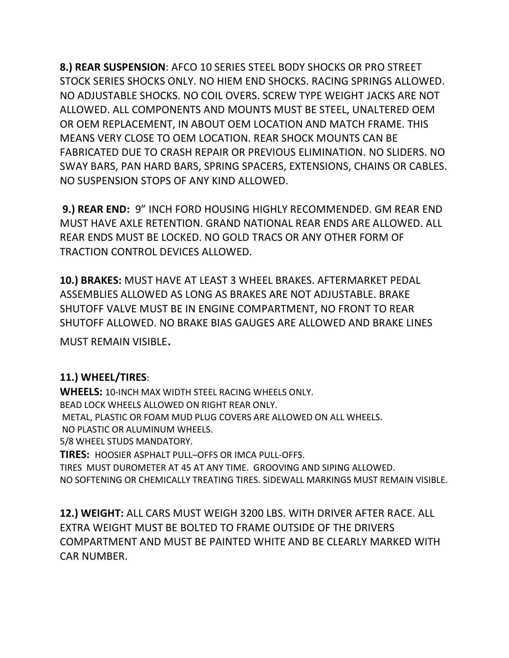**8.) REAR SUSPENSION**: AFCO 10 SERIES STEEL BODY SHOCKS OR PRO STREET STOCK SERIES SHOCKS ONLY. NO HIEM END SHOCKS. RACING SPRINGS ALLOWED. NO ADJUSTABLE SHOCKS. NO COIL OVERS. SCREW TYPE WEIGHT JACKS ARE NOT ALLOWED. ALL COMPONENTS AND MOUNTS MUST BE STEEL, UNALTERED OEM OR OEM REPLACEMENT, IN ABOUT OEM LOCATION AND MATCH FRAME. THIS MEANS VERY CLOSE TO OEM LOCATION. REAR SHOCK MOUNTS CAN BE FABRICATED DUE TO CRASH REPAIR OR PREVIOUS ELIMINATION. NO SLIDERS. NO SWAY BARS, PAN HARD BARS, SPRING SPACERS, EXTENSIONS, CHAINS OR CABLES. NO SUSPENSION STOPS OF ANY KIND ALLOWED.

**9.) REAR END:** 9" INCH FORD HOUSING HIGHLY RECOMMENDED. GM REAR END MUST HAVE AXLE RETENTION. GRAND NATIONAL REAR ENDS ARE ALLOWED. ALL REAR ENDS MUST BE LOCKED. NO GOLD TRACS OR ANY OTHER FORM OF TRACTION CONTROL DEVICES ALLOWED.

**10.) BRAKES:** MUST HAVE AT LEAST 3 WHEEL BRAKES. AFTERMARKET PEDAL ASSEMBLIES ALLOWED AS LONG AS BRAKES ARE NOT ADJUSTABLE. BRAKE SHUTOFF VALVE MUST BE IN ENGINE COMPARTMENT, NO FRONT TO REAR SHUTOFF ALLOWED. NO BRAKE BIAS GAUGES ARE ALLOWED AND BRAKE LINES

MUST REMAIN VISIBLE.

## **11.) WHEEL/TIRES**:

**WHEELS:** 10-INCH MAX WIDTH STEEL RACING WHEELS ONLY. BEAD LOCK WHEELS ALLOWED ON RIGHT REAR ONLY. METAL, PLASTIC OR FOAM MUD PLUG COVERS ARE ALLOWED ON ALL WHEELS. NO PLASTIC OR ALUMINUM WHEELS. 5/8 WHEEL STUDS MANDATORY. **TIRES:** HOOSIER ASPHALT PULL–OFFS OR IMCA PULL-OFFS.

TIRES MUST DUROMETER AT 45 AT ANY TIME. GROOVING AND SIPING ALLOWED. NO SOFTENING OR CHEMICALLY TREATING TIRES. SIDEWALL MARKINGS MUST REMAIN VISIBLE.

**12.) WEIGHT:** ALL CARS MUST WEIGH 3200 LBS. WITH DRIVER AFTER RACE. ALL EXTRA WEIGHT MUST BE BOLTED TO FRAME OUTSIDE OF THE DRIVERS COMPARTMENT AND MUST BE PAINTED WHITE AND BE CLEARLY MARKED WITH CAR NUMBER.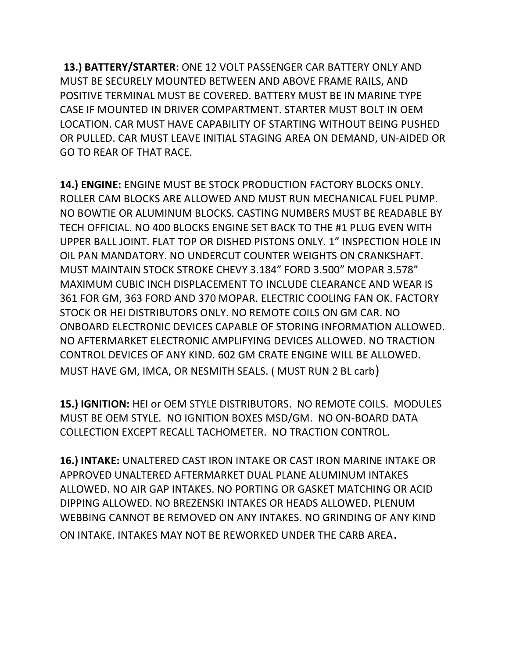**13.) BATTERY/STARTER**: ONE 12 VOLT PASSENGER CAR BATTERY ONLY AND MUST BE SECURELY MOUNTED BETWEEN AND ABOVE FRAME RAILS, AND POSITIVE TERMINAL MUST BE COVERED. BATTERY MUST BE IN MARINE TYPE CASE IF MOUNTED IN DRIVER COMPARTMENT. STARTER MUST BOLT IN OEM LOCATION. CAR MUST HAVE CAPABILITY OF STARTING WITHOUT BEING PUSHED OR PULLED. CAR MUST LEAVE INITIAL STAGING AREA ON DEMAND, UN-AIDED OR GO TO REAR OF THAT RACE.

**14.) ENGINE:** ENGINE MUST BE STOCK PRODUCTION FACTORY BLOCKS ONLY. ROLLER CAM BLOCKS ARE ALLOWED AND MUST RUN MECHANICAL FUEL PUMP. NO BOWTIE OR ALUMINUM BLOCKS. CASTING NUMBERS MUST BE READABLE BY TECH OFFICIAL. NO 400 BLOCKS ENGINE SET BACK TO THE #1 PLUG EVEN WITH UPPER BALL JOINT. FLAT TOP OR DISHED PISTONS ONLY. 1" INSPECTION HOLE IN OIL PAN MANDATORY. NO UNDERCUT COUNTER WEIGHTS ON CRANKSHAFT. MUST MAINTAIN STOCK STROKE CHEVY 3.184" FORD 3.500" MOPAR 3.578" MAXIMUM CUBIC INCH DISPLACEMENT TO INCLUDE CLEARANCE AND WEAR IS 361 FOR GM, 363 FORD AND 370 MOPAR. ELECTRIC COOLING FAN OK. FACTORY STOCK OR HEI DISTRIBUTORS ONLY. NO REMOTE COILS ON GM CAR. NO ONBOARD ELECTRONIC DEVICES CAPABLE OF STORING INFORMATION ALLOWED. NO AFTERMARKET ELECTRONIC AMPLIFYING DEVICES ALLOWED. NO TRACTION CONTROL DEVICES OF ANY KIND. 602 GM CRATE ENGINE WILL BE ALLOWED. MUST HAVE GM, IMCA, OR NESMITH SEALS. ( MUST RUN 2 BL carb)

**15.) IGNITION:** HEI or OEM STYLE DISTRIBUTORS. NO REMOTE COILS. MODULES MUST BE OEM STYLE. NO IGNITION BOXES MSD/GM. NO ON-BOARD DATA COLLECTION EXCEPT RECALL TACHOMETER. NO TRACTION CONTROL.

**16.) INTAKE:** UNALTERED CAST IRON INTAKE OR CAST IRON MARINE INTAKE OR APPROVED UNALTERED AFTERMARKET DUAL PLANE ALUMINUM INTAKES ALLOWED. NO AIR GAP INTAKES. NO PORTING OR GASKET MATCHING OR ACID DIPPING ALLOWED. NO BREZENSKI INTAKES OR HEADS ALLOWED. PLENUM WEBBING CANNOT BE REMOVED ON ANY INTAKES. NO GRINDING OF ANY KIND ON INTAKE. INTAKES MAY NOT BE REWORKED UNDER THE CARB AREA.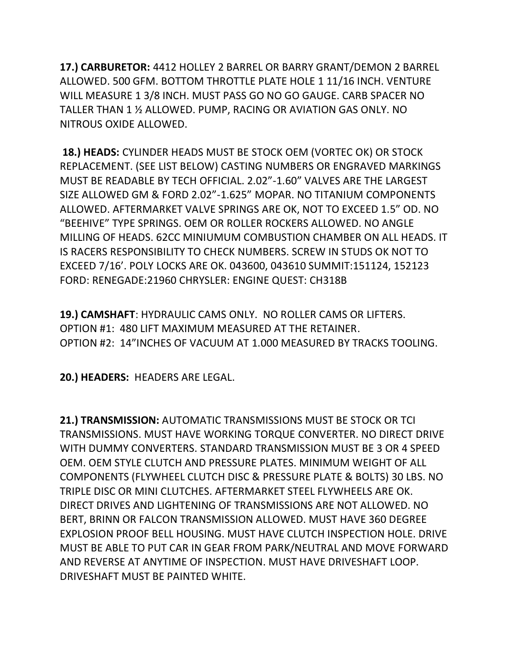**17.) CARBURETOR:** 4412 HOLLEY 2 BARREL OR BARRY GRANT/DEMON 2 BARREL ALLOWED. 500 GFM. BOTTOM THROTTLE PLATE HOLE 1 11/16 INCH. VENTURE WILL MEASURE 1 3/8 INCH. MUST PASS GO NO GO GAUGE. CARB SPACER NO TALLER THAN 1 ½ ALLOWED. PUMP, RACING OR AVIATION GAS ONLY. NO NITROUS OXIDE ALLOWED.

**18.) HEADS:** CYLINDER HEADS MUST BE STOCK OEM (VORTEC OK) OR STOCK REPLACEMENT. (SEE LIST BELOW) CASTING NUMBERS OR ENGRAVED MARKINGS MUST BE READABLE BY TECH OFFICIAL. 2.02"-1.60" VALVES ARE THE LARGEST SIZE ALLOWED GM & FORD 2.02"-1.625" MOPAR. NO TITANIUM COMPONENTS ALLOWED. AFTERMARKET VALVE SPRINGS ARE OK, NOT TO EXCEED 1.5" OD. NO "BEEHIVE" TYPE SPRINGS. OEM OR ROLLER ROCKERS ALLOWED. NO ANGLE MILLING OF HEADS. 62CC MINIUMUM COMBUSTION CHAMBER ON ALL HEADS. IT IS RACERS RESPONSIBILITY TO CHECK NUMBERS. SCREW IN STUDS OK NOT TO EXCEED 7/16'. POLY LOCKS ARE OK. 043600, 043610 SUMMIT:151124, 152123 FORD: RENEGADE:21960 CHRYSLER: ENGINE QUEST: CH318B

**19.) CAMSHAFT**: HYDRAULIC CAMS ONLY. NO ROLLER CAMS OR LIFTERS. OPTION #1: 480 LIFT MAXIMUM MEASURED AT THE RETAINER. OPTION #2: 14"INCHES OF VACUUM AT 1.000 MEASURED BY TRACKS TOOLING.

**20.) HEADERS:** HEADERS ARE LEGAL.

**21.) TRANSMISSION:** AUTOMATIC TRANSMISSIONS MUST BE STOCK OR TCI TRANSMISSIONS. MUST HAVE WORKING TORQUE CONVERTER. NO DIRECT DRIVE WITH DUMMY CONVERTERS. STANDARD TRANSMISSION MUST BE 3 OR 4 SPEED OEM. OEM STYLE CLUTCH AND PRESSURE PLATES. MINIMUM WEIGHT OF ALL COMPONENTS (FLYWHEEL CLUTCH DISC & PRESSURE PLATE & BOLTS) 30 LBS. NO TRIPLE DISC OR MINI CLUTCHES. AFTERMARKET STEEL FLYWHEELS ARE OK. DIRECT DRIVES AND LIGHTENING OF TRANSMISSIONS ARE NOT ALLOWED. NO BERT, BRINN OR FALCON TRANSMISSION ALLOWED. MUST HAVE 360 DEGREE EXPLOSION PROOF BELL HOUSING. MUST HAVE CLUTCH INSPECTION HOLE. DRIVE MUST BE ABLE TO PUT CAR IN GEAR FROM PARK/NEUTRAL AND MOVE FORWARD AND REVERSE AT ANYTIME OF INSPECTION. MUST HAVE DRIVESHAFT LOOP. DRIVESHAFT MUST BE PAINTED WHITE.